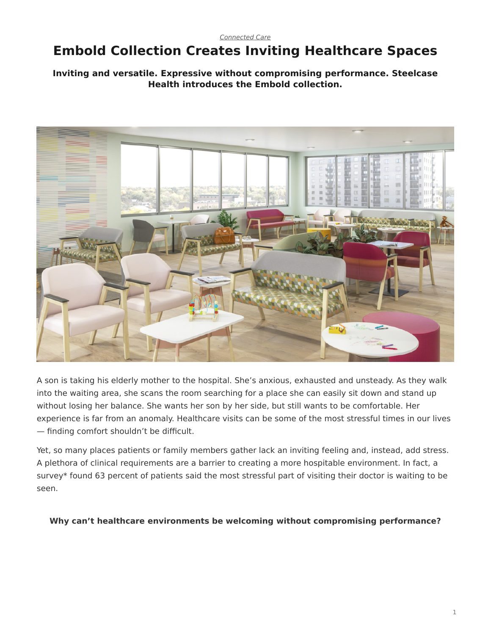# <span id="page-0-0"></span>**Embold Collection Creates Inviting Healthcare Spaces**

# **Inviting and versatile. Expressive without compromising performance. Steelcase Health introduces the Embold collection.**



A son is taking his elderly mother to the hospital. She's anxious, exhausted and unsteady. As they walk into the waiting area, she scans the room searching for a place she can easily sit down and stand up without losing her balance. She wants her son by her side, but still wants to be comfortable. Her experience is far from an anomaly. Healthcare visits can be some of the most stressful times in our lives — finding comfort shouldn't be difficult.

Yet, so many places patients or family members gather lack an inviting feeling and, instead, add stress. A plethora of clinical requirements are a barrier to creating a more hospitable environment. In fact, a survey\* found 63 percent of patients said the most stressful part of visiting their doctor is waiting to be seen.

#### **Why can't healthcare environments be welcoming without compromising performance?**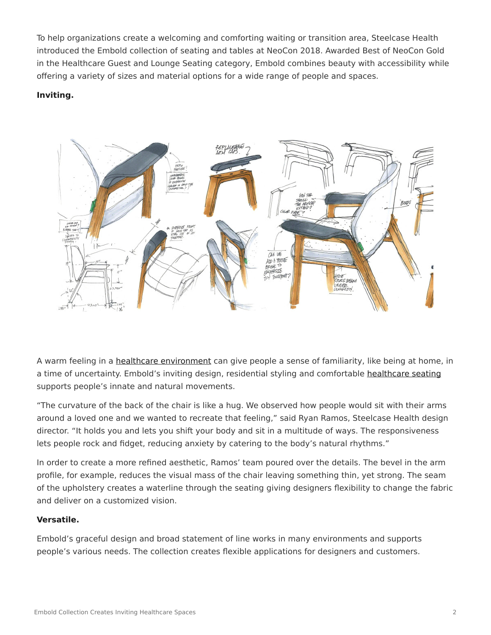To help organizations create a welcoming and comforting waiting or transition area, Steelcase Health introduced the Embold collection of seating and tables at NeoCon 2018. Awarded Best of NeoCon Gold in the Healthcare Guest and Lounge Seating category, Embold combines beauty with accessibility while offering a variety of sizes and material options for a wide range of people and spaces.

## **Inviting.**



A warm feeling in a [healthcare environment](https://www.steelcase.com/discover/information/health/supporting-family-members-patient-rooms/#meeting-family-needs-in-the-patient-room_support-family-centered-care) can give people a sense of familiarity, like being at home, in a time of uncertainty. Embold's inviting design, residential styling and comfortable [healthcare seating](https://www.steelcase.com/products/patient-chairs/) supports people's innate and natural movements.

"The curvature of the back of the chair is like a hug. We observed how people would sit with their arms around a loved one and we wanted to recreate that feeling," said Ryan Ramos, Steelcase Health design director. "It holds you and lets you shift your body and sit in a multitude of ways. The responsiveness lets people rock and fidget, reducing anxiety by catering to the body's natural rhythms."

In order to create a more refined aesthetic, Ramos' team poured over the details. The bevel in the arm profile, for example, reduces the visual mass of the chair leaving something thin, yet strong. The seam of the upholstery creates a waterline through the seating giving designers flexibility to change the fabric and deliver on a customized vision.

## **Versatile.**

Embold's graceful design and broad statement of line works in many environments and supports people's various needs. The collection creates flexible applications for designers and customers.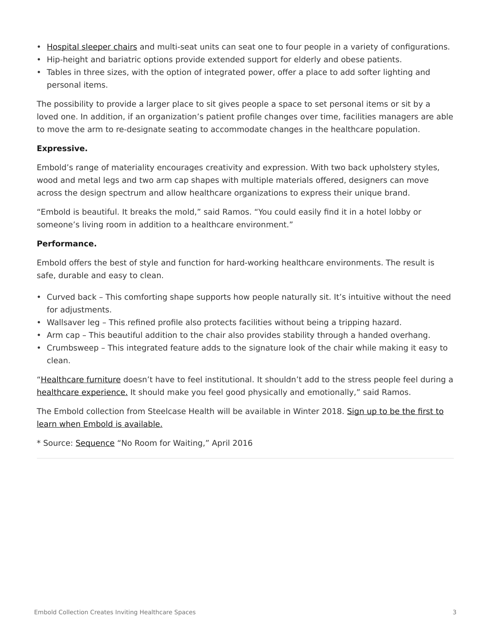- [Hospital sleeper chairs](https://www.steelcase.com/products/patient-chairs/) and multi-seat units can seat one to four people in a variety of configurations.
- Hip-height and bariatric options provide extended support for elderly and obese patients.
- Tables in three sizes, with the option of integrated power, offer a place to add softer lighting and personal items.

The possibility to provide a larger place to sit gives people a space to set personal items or sit by a loved one. In addition, if an organization's patient profile changes over time, facilities managers are able to move the arm to re-designate seating to accommodate changes in the healthcare population.

#### **Expressive.**

Embold's range of materiality encourages creativity and expression. With two back upholstery styles, wood and metal legs and two arm cap shapes with multiple materials offered, designers can move across the design spectrum and allow healthcare organizations to express their unique brand.

"Embold is beautiful. It breaks the mold," said Ramos. "You could easily find it in a hotel lobby or someone's living room in addition to a healthcare environment."

#### **Performance.**

Embold offers the best of style and function for hard-working healthcare environments. The result is safe, durable and easy to clean.

- Curved back This comforting shape supports how people naturally sit. It's intuitive without the need for adjustments.
- Wallsaver leg This refined profile also protects facilities without being a tripping hazard.
- Arm cap This beautiful addition to the chair also provides stability through a handed overhang.
- Crumbsweep This integrated feature adds to the signature look of the chair while making it easy to clean.

"[Healthcare furniture](https://www.steelcase.com/discover/information/health/) doesn't have to feel institutional. It shouldn't add to the stress people feel during a [healthcare experience.](https://www.steelcase.com/spaces-inspiration/health-spaces-transition-waiting/) It should make you feel good physically and emotionally," said Ramos.

The Embold collection from Steelcase Health will be available in Winter 2018. [Sign up to be the first to](https://info.steelcase.com/embold) [learn when Embold is available.](https://info.steelcase.com/embold)

\* Source: [Sequence](https://www.businesswire.com/news/home/20160405005493/en/New-Survey-Sequence-Uncovers-Functional-Breakdowns-Technology) "No Room for Waiting," April 2016